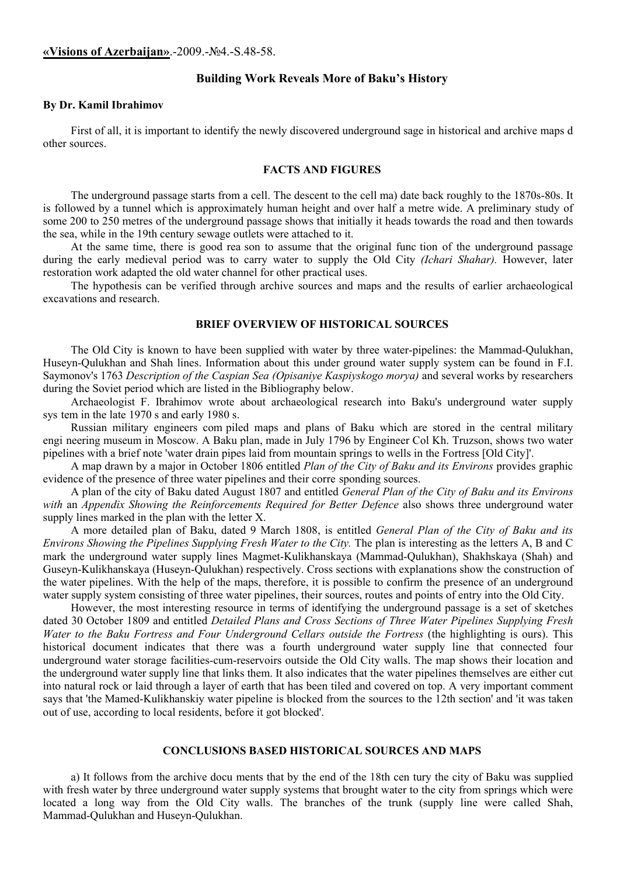## **«Visions of Azerbaijan»**.-2009.-№4.-S.48-58.

## **Building Work Reveals More of Baku's History**

### **By Dr. Kamil Ibrahimov**

First of all, it is important to identify the newly discovered underground sage in historical and archive maps d other sources.

# **FACTS AND FIGURES**

The underground passage starts from a cell. The descent to the cell ma) date back roughly to the 1870s-80s. It is followed by a tunnel which is approximately human height and over half a metre wide. A preliminary study of some 200 to 250 metres of the underground passage shows that initially it heads towards the road and then towards the sea, while in the 19th century sewage outlets were attached to it.

At the same time, there is good rea son to assume that the original func tion of the underground passage during the early medieval period was to carry water to supply the Old City *(Ichari Shahar).* However, later restoration work adapted the old water channel for other practical uses.

The hypothesis can be verified through archive sources and maps and the results of earlier archaeological excavations and research.

## **BRIEF OVERVIEW OF HISTORICAL SOURCES**

The Old City is known to have been supplied with water by three water-pipelines: the Mammad-Qulukhan, Huseyn-Qulukhan and Shah lines. Information about this under ground water supply system can be found in F.I. Saymonov's 1763 *Description of the Caspian Sea (Opisaniye Kaspiyskogo morya)* and several works by researchers during the Soviet period which are listed in the Bibliography below.

Archaeologist F. Ibrahimov wrote about archaeological research into Baku's underground water supply sys tem in the late 1970 s and early 1980 s.

Russian military engineers com piled maps and plans of Baku which are stored in the central military engi neering museum in Moscow. A Baku plan, made in July 1796 by Engineer Col Kh. Truzson, shows two water pipelines with a brief note 'water drain pipes laid from mountain springs to wells in the Fortress [Old City]'.

A map drawn by a major in October 1806 entitled *Plan of the City of Baku and its Environs* provides graphic evidence of the presence of three water pipelines and their corre sponding sources.

A plan of the city of Baku dated August 1807 and entitled *General Plan of the City of Baku and its Environs with* an *Appendix Showing the Reinforcements Required for Better Defence* also shows three underground water supply lines marked in the plan with the letter X.

A more detailed plan of Baku, dated 9 March 1808, is entitled *General Plan of the City of Baku and its Environs Showing the Pipelines Supplying Fresh Water to the City.* The plan is interesting as the letters A, В and С mark the underground water supply lines Magmet-Kulikhanskaya (Mammad-Qulukhan), Shakhskaya (Shah) and Guseyn-Kulikhanskaya (Huseyn-Qulukhan) respectively. Cross sections with explanations show the construction of the water pipelines. With the help of the maps, therefore, it is possible to confirm the presence of an underground water supply system consisting of three water pipelines, their sources, routes and points of entry into the Old City.

However, the most interesting resource in terms of identifying the underground passage is a set of sketches dated 30 October 1809 and entitled *Detailed Plans and Cross Sections оf Three Water Pipelines Supplying Fresh Water to the Baku Fortress and Four Underground Cellars outside the Fortress* (the highlighting is ours). This historical document indicates that there was a fourth underground water supply line that connected four underground water storage facilities-cum-reservoirs outside the Old City walls. The map shows their location and the underground water supply line that links them. It also indicates that the water pipelines themselves are either cut into natural rock or laid through a layer of earth that has been tiled and covered on top. A very important comment says that 'the Mamed-Kulikhanskiy water pipeline is blocked from the sources to the 12th section' and 'it was taken out of use, according to local residents, before it got blocked'.

### **CONCLUSIONS BASED HISTORICAL SOURCES AND MAPS**

a) It follows from the archive docu ments that by the end of the 18th cen tury the city of Baku was supplied with fresh water by three underground water supply systems that brought water to the city from springs which were located a long way from the Old City walls. The branches of the trunk (supply line were called Shah, Mammad-Qulukhan and Huseyn-Qulukhan.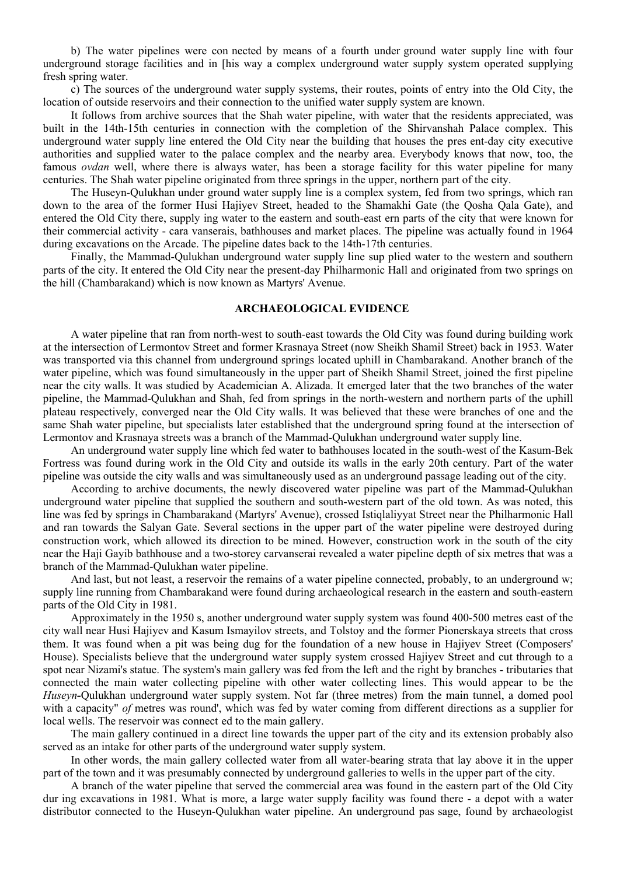b) The water pipelines were con nected by means of a fourth under ground water supply line with four underground storage facilities and in [his way a complex underground water supply system operated supplying fresh spring water.

c) The sources of the underground water supply systems, their routes, points of entry into the Old City, the location of outside reservoirs and their connection to the unified water supply system are known.

It follows from archive sources that the Shah water pipeline, with water that the residents appreciated, was built in the 14th-15th centuries in connection with the completion of the Shirvanshah Palace complex. This underground water supply line entered the Old City near the building that houses the pres ent-day city executive authorities and supplied water to the palace complex and the nearby area. Everybody knows that now, too, the famous *ovdan* well, where there is always water, has been a storage facility for this water pipeline for many centuries. The Shah water pipeline originated from three springs in the upper, northern part of the city.

The Huseyn-Qulukhan under ground water supply line is a complex system, fed from two springs, which ran down to the area of the former Husi Hajiyev Street, headed to the Shamakhi Gate (the Qosha Qala Gate), and entered the Old City there, supply ing water to the eastern and south-east ern parts of the city that were known for their commercial activity - cara vanserais, bathhouses and market places. The pipeline was actually found in 1964 during excavations on the Arcade. The pipeline dates back to the 14th-17th centuries.

Finally, the Mammad-Qulukhan underground water supply line sup plied water to the western and southern parts of the city. It entered the Old City near the present-day Philharmonic Hall and originated from two springs on the hill (Chambarakand) which is now known as Martyrs' Avenue.

#### **ARCHAEOLOGICAL EVIDENCE**

A water pipeline that ran from north-west to south-east towards the Old City was found during building work at the intersection of Lermontov Street and former Krasnaya Street (now Sheikh Shamil Street) back in 1953. Water was transported via this channel from underground springs located uphill in Chambarakand. Another branch of the water pipeline, which was found simultaneously in the upper part of Sheikh Shamil Street, joined the first pipeline near the city walls. It was studied by Academician A. Alizada. It emerged later that the two branches of the water pipeline, the Mammad-Qulukhan and Shah, fed from springs in the north-western and northern parts of the uphill plateau respectively, converged near the Old City walls. It was believed that these were branches of one and the same Shah water pipeline, but specialists later established that the underground spring found at the intersection of Lermontov and Krasnaya streets was a branch of the Mammad-Qulukhan underground water supply line.

An underground water supply line which fed water to bathhouses located in the south-west of the Kasum-Bek Fortress was found during work in the Old City and outside its walls in the early 20th century. Part of the water pipeline was outside the city walls and was simultaneously used as an underground passage leading out of the city.

According to archive documents, the newly discovered water pipeline was part of the Mammad-Qulukhan underground water pipeline that supplied the southern and south-western part of the old town. As was noted, this line was fed by springs in Chambarakand (Martyrs' Avenue), crossed Istiqlaliyyat Street near the Philharmonic Hall and ran towards the Salyan Gate. Several sections in the upper part of the water pipeline were destroyed during construction work, which allowed its direction to be mined. However, construction work in the south of the city near the Haji Gayib bathhouse and a two-storey carvanserai revealed a water pipeline depth of six metres that was a branch of the Mammad-Qulukhan water pipeline.

And last, but not least, a reservoir the remains of a water pipeline connected, probably, to an underground w; supply line running from Chambarakand were found during archaeological research in the eastern and south-eastern parts of the Old City in 1981.

Approximately in the 1950 s, another underground water supply system was found 400-500 metres east of the city wall near Husi Hajiyev and Kasum Ismayilov streets, and Tolstoy and the former Pionerskaya streets that cross them. It was found when a pit was being dug for the foundation of a new house in Hajiyev Street (Composers' House). Specialists believe that the underground water supply system crossed Hajiyev Street and cut through to a spot near Nizami's statue. The system's main gallery was fed from the left and the right by branches - tributaries that connected the main water collecting pipeline with other water collecting lines. This would appear to be the *Huseyn-*Qulukhan underground water supply system. Not far (three metres) from the main tunnel, a domed pool with a capacity" *of* metres was round', which was fed by water coming from different directions as a supplier for local wells. The reservoir was connect ed to the main gallery.

The main gallery continued in a direct line towards the upper part of the city and its extension probably also served as an intake for other parts of the underground water supply system.

In other words, the main gallery collected water from all water-bearing strata that lay above it in the upper part of the town and it was presumably connected by underground galleries to wells in the upper part of the city.

A branch of the water pipeline that served the commercial area was found in the eastern part of the Old City dur ing excavations in 1981. What is more, a large water supply facility was found there - a depot with a water distributor connected to the Huseyn-Qulukhan water pipeline. An underground pas sage, found by archaeologist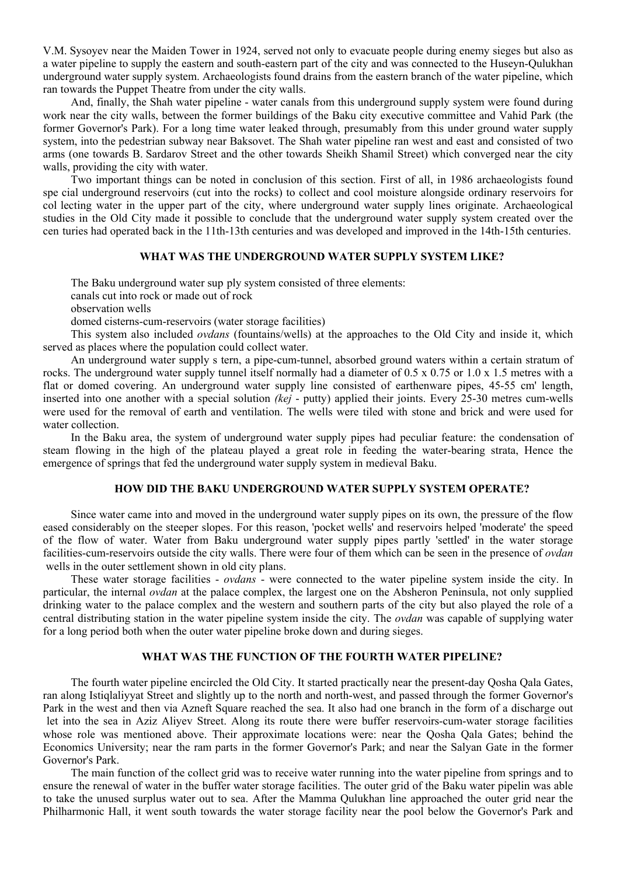V.M. Sysoyev near the Maiden Tower in 1924, served not only to evacuate people during enemy sieges but also as a water pipeline to supply the eastern and south-eastern part of the city and was connected to the Huseyn-Qulukhan underground water supply system. Archaeologists found drains from the eastern branch of the water pipeline, which ran towards the Puppet Theatre from under the city walls.

And, finally, the Shah water pipeline - water canals from this underground supply system were found during work near the city walls, between the former buildings of the Baku city executive committee and Vahid Park (the former Governor's Park). For a long time water leaked through, presumably from this under ground water supply system, into the pedestrian subway near Baksovet. The Shah water pipeline ran west and east and consisted of two arms (one towards B. Sardarov Street and the other towards Sheikh Shamil Street) which converged near the city walls, providing the city with water.

Two important things can be noted in conclusion of this section. First of all, in 1986 archaeologists found spe cial underground reservoirs (cut into the rocks) to collect and cool moisture alongside ordinary reservoirs for col lecting water in the upper part of the city, where underground water supply lines originate. Archaeological studies in the Old City made it possible to conclude that the underground water supply system created over the cen turies had operated back in the 11th-13th centuries and was developed and improved in the 14th-15th centuries.

## **WHAT WAS THE UNDERGROUND WATER SUPPLY SYSTEM LIKE?**

The Baku underground water sup ply system consisted of three elements:

canals cut into rock or made out of rock

observation wells

domed cisterns-cum-reservoirs (water storage facilities)

This system also included *ovdans* (fountains/wells) at the approaches to the Old City and inside it, which served as places where the population could collect water.

An underground water supply s tern, a pipe-cum-tunnel, absorbed ground waters within a certain stratum of rocks. The underground water supply tunnel itself normally had a diameter of 0.5 x 0.75 or 1.0 x 1.5 metres with a flat or domed covering. An underground water supply line consisted of earthenware pipes, 45-55 cm' length, inserted into one another with a special solution *(kej* - putty) applied their joints. Every 25-30 metres cum-wells were used for the removal of earth and ventilation. The wells were tiled with stone and brick and were used for water collection.

In the Baku area, the system of underground water supply pipes had peculiar feature: the condensation of steam flowing in the high of the plateau played a great role in feeding the water-bearing strata, Hence the emergence of springs that fed the underground water supply system in medieval Baku.

# **HOW DID THE BAKU UNDERGROUND WATER SUPPLY SYSTEM OPERATE?**

Since water came into and moved in the underground water supply pipes on its own, the pressure of the flow eased considerably on the steeper slopes. For this reason, 'pocket wells' and reservoirs helped 'moderate' the speed of the flow of water. Water from Baku underground water supply pipes partly 'settled' in the water storage facilities-cum-reservoirs outside the city walls. There were four of them which can be seen in the presence of *ovdan* wells in the outer settlement shown in old city plans.

These water storage facilities - *ovdans* - were connected to the water pipeline system inside the city. In particular, the internal *ovdan* at the palace complex, the largest one on the Absheron Peninsula, not only supplied drinking water to the palace complex and the western and southern parts of the city but also played the role of a central distributing station in the water pipeline system inside the city. The *ovdan* was capable of supplying water for a long period both when the outer water pipeline broke down and during sieges.

# **WHAT WAS THE FUNCTION OF THE FOURTH WATER PIPELINE?**

The fourth water pipeline encircled the Old City. It started practically near the present-day Qosha Qala Gates, ran along Istiqlaliyyat Street and slightly up to the north and north-west, and passed through the former Governor's Park in the west and then via Azneft Square reached the sea. It also had one branch in the form of a discharge out let into the sea in Aziz Aliyev Street. Along its route there were buffer reservoirs-cum-water storage facilities whose role was mentioned above. Their approximate locations were: near the Qosha Qala Gates; behind the Economics University; near the ram parts in the former Governor's Park; and near the Salyan Gate in the former Governor's Park.

The main function of the collect grid was to receive water running into the water pipeline from springs and to ensure the renewal of water in the buffer water storage facilities. The outer grid of the Baku water pipelin was able to take the unused surplus water out to sea. After the Mamma Qulukhan line approached the outer grid near the Philharmonic Hall, it went south towards the water storage facility near the pool below the Governor's Park and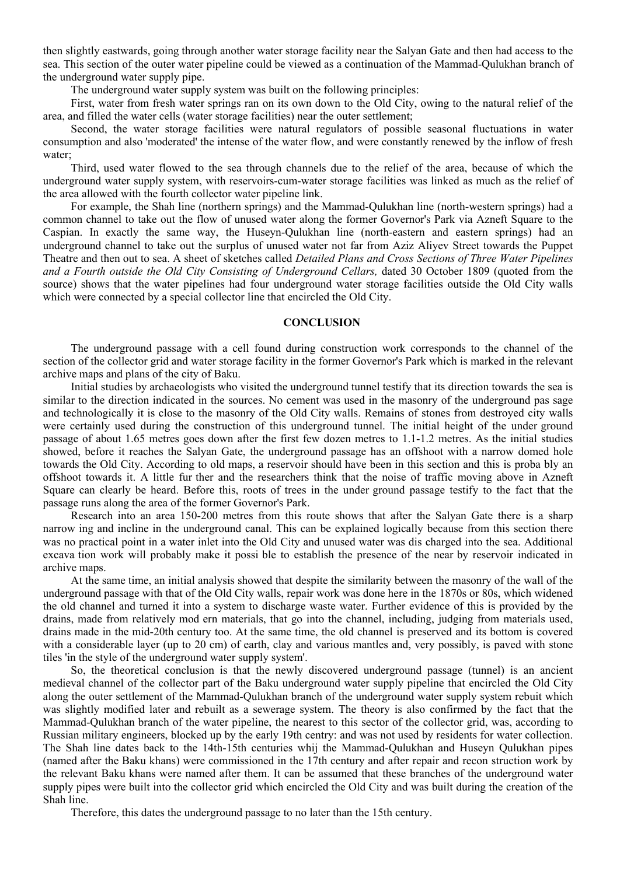then slightly eastwards, going through another water storage facility near the Salyan Gate and then had access to the sea. This section of the outer water pipeline could be viewed as a continuation of the Mammad-Qulukhan branch of the underground water supply pipe.

The underground water supply system was built on the following principles:

First, water from fresh water springs ran on its own down to the Old City, owing to the natural relief of the area, and filled the water cells (water storage facilities) near the outer settlement;

Second, the water storage facilities were natural regulators of possible seasonal fluctuations in water consumption and also 'moderated' the intense of the water flow, and were constantly renewed by the inflow of fresh water;

Third, used water flowed to the sea through channels due to the relief of the area, because of which the underground water supply system, with reservoirs-cum-water storage facilities was linked as much as the relief of the area allowed with the fourth collector water pipeline link.

For example, the Shah line (northern springs) and the Mammad-Qulukhan line (north-western springs) had a common channel to take out the flow of unused water along the former Governor's Park via Azneft Square to the Caspian. In exactly the same way, the Huseyn-Qulukhan line (north-eastern and eastern springs) had an underground channel to take out the surplus of unused water not far from Aziz Aliyev Street towards the Puppet Theatre and then out to sea. A sheet of sketches called *Detailed Plans and Cross Sections of Three Water Pipelines and a Fourth outside the Old City Consisting of Underground Cellars,* dated 30 October 1809 (quoted from the source) shows that the water pipelines had four underground water storage facilities outside the Old City walls which were connected by a special collector line that encircled the Old City.

#### **CONCLUSION**

The underground passage with a cell found during construction work corresponds to the channel of the section of the collector grid and water storage facility in the former Governor's Park which is marked in the relevant archive maps and plans of the city of Baku.

Initial studies by archaeologists who visited the underground tunnel testify that its direction towards the sea is similar to the direction indicated in the sources. No cement was used in the masonry of the underground pas sage and technologically it is close to the masonry of the Old City walls. Remains of stones from destroyed city walls were certainly used during the construction of this underground tunnel. The initial height of the under ground passage of about 1.65 metres goes down after the first few dozen metres to 1.1-1.2 metres. As the initial studies showed, before it reaches the Salyan Gate, the underground passage has an offshoot with a narrow domed hole towards the Old City. According to old maps, a reservoir should have been in this section and this is proba bly an offshoot towards it. A little fur ther and the researchers think that the noise of traffic moving above in Azneft Square can clearly be heard. Before this, roots of trees in the under ground passage testify to the fact that the passage runs along the area of the former Governor's Park.

Research into an area 150-200 metres from this route shows that after the Salyan Gate there is a sharp narrow ing and incline in the underground canal. This can be explained logically because from this section there was no practical point in a water inlet into the Old City and unused water was dis charged into the sea. Additional excava tion work will probably make it possi ble to establish the presence of the near by reservoir indicated in archive maps.

At the same time, an initial analysis showed that despite the similarity between the masonry of the wall of the underground passage with that of the Old City walls, repair work was done here in the 1870s or 80s, which widened the old channel and turned it into a system to discharge waste water. Further evidence of this is provided by the drains, made from relatively mod ern materials, that go into the channel, including, judging from materials used, drains made in the mid-20th century too. At the same time, the old channel is preserved and its bottom is covered with a considerable layer (up to 20 cm) of earth, clay and various mantles and, very possibly, is paved with stone tiles 'in the style of the underground water supply system'.

So, the theoretical conclusion is that the newly discovered underground passage (tunnel) is an ancient medieval channel of the collector part of the Baku underground water supply pipeline that encircled the Old City along the outer settlement of the Mammad-Qulukhan branch of the underground water supply system rebuit which was slightly modified later and rebuilt as a sewerage system. The theory is also confirmed by the fact that the Mammad-Qulukhan branch of the water pipeline, the nearest to this sector of the collector grid, was, according to Russian military engineers, blocked up by the early 19th centry: and was not used by residents for water collection. The Shah line dates back to the 14th-15th centuries whij the Mammad-Qulukhan and Huseyn Qulukhan pipes (named after the Baku khans) were commissioned in the 17th century and after repair and recon struction work by the relevant Baku khans were named after them. It can be assumed that these branches of the underground water supply pipes were built into the collector grid which encircled the Old City and was built during the creation of the Shah line.

Therefore, this dates the underground passage to no later than the 15th century.